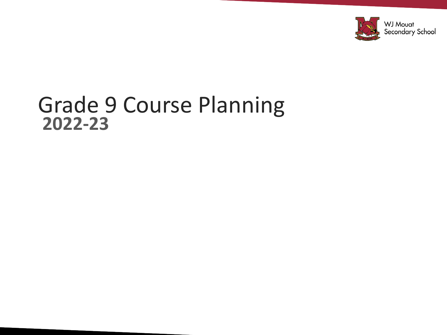

#### Grade 9 Course Planning **2022-23**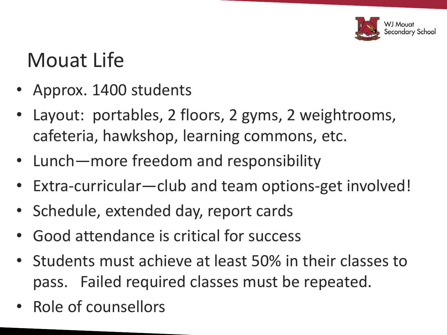

### Mouat Life

- Approx. 1400 students
- Layout: portables, 2 floors, 2 gyms, 2 weightrooms, cafeteria, hawkshop, learning commons, etc.
- Lunch—more freedom and responsibility
- Extra-curricular—club and team options-get involved!
- Schedule, extended day, report cards
- Good attendance is critical for success
- Students must achieve at least 50% in their classes to pass. Failed required classes must be repeated.
- Role of counsellors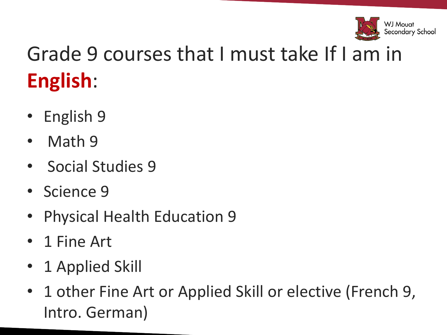

# Grade 9 courses that I must take If I am in **English**:

- English 9
- Math 9
- Social Studies 9
- Science 9
- Physical Health Education 9
- 1 Fine Art
- 1 Applied Skill
- 1 other Fine Art or Applied Skill or elective (French 9, Intro. German)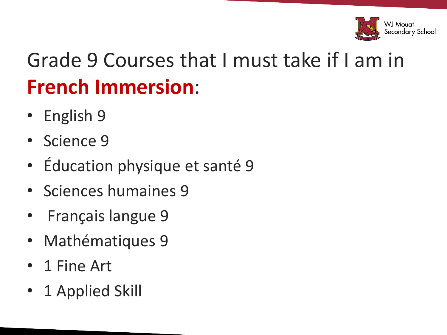

## Grade 9 Courses that I must take if I am in **French Immersion**:

- English 9
- Science 9
- Éducation physique et santé 9
- Sciences humaines 9
- Français langue 9
- Mathématiques 9
- 1 Fine Art
- 1 Applied Skill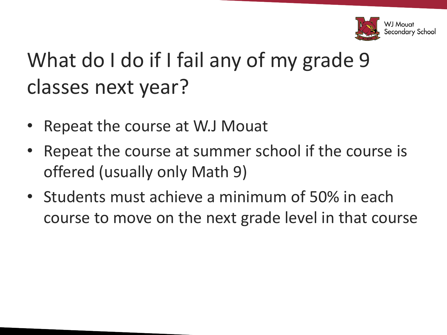

# What do I do if I fail any of my grade 9 classes next year?

- Repeat the course at W.J Mouat
- Repeat the course at summer school if the course is offered (usually only Math 9)
- Students must achieve a minimum of 50% in each course to move on the next grade level in that course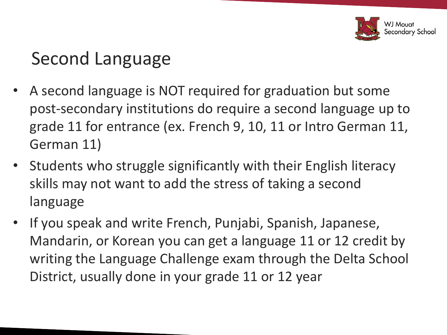

#### Second Language

- A second language is NOT required for graduation but some post-secondary institutions do require a second language up to grade 11 for entrance (ex. French 9, 10, 11 or Intro German 11, German 11)
- Students who struggle significantly with their English literacy skills may not want to add the stress of taking a second language
- If you speak and write French, Punjabi, Spanish, Japanese, Mandarin, or Korean you can get a language 11 or 12 credit by writing the Language Challenge exam through the Delta School District, usually done in your grade 11 or 12 year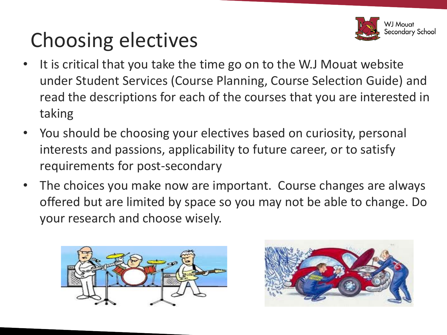## Choosing electives



- It is critical that you take the time go on to the W.J Mouat website under Student Services (Course Planning, Course Selection Guide) and read the descriptions for each of the courses that you are interested in taking
- You should be choosing your electives based on curiosity, personal interests and passions, applicability to future career, or to satisfy requirements for post-secondary
- The choices you make now are important. Course changes are always offered but are limited by space so you may not be able to change. Do your research and choose wisely.



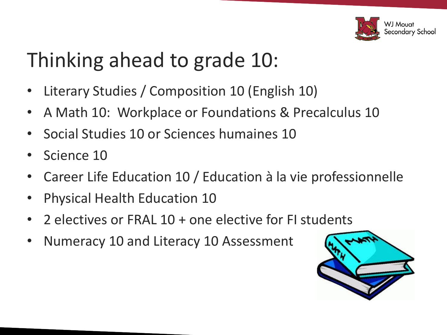

## Thinking ahead to grade 10:

- Literary Studies / Composition 10 (English 10)
- A Math 10: Workplace or Foundations & Precalculus 10
- Social Studies 10 or Sciences humaines 10
- Science 10
- Career Life Education 10 / Education à la vie professionnelle
- Physical Health Education 10
- 2 electives or FRAL 10 + one elective for FI students
- Numeracy 10 and Literacy 10 Assessment